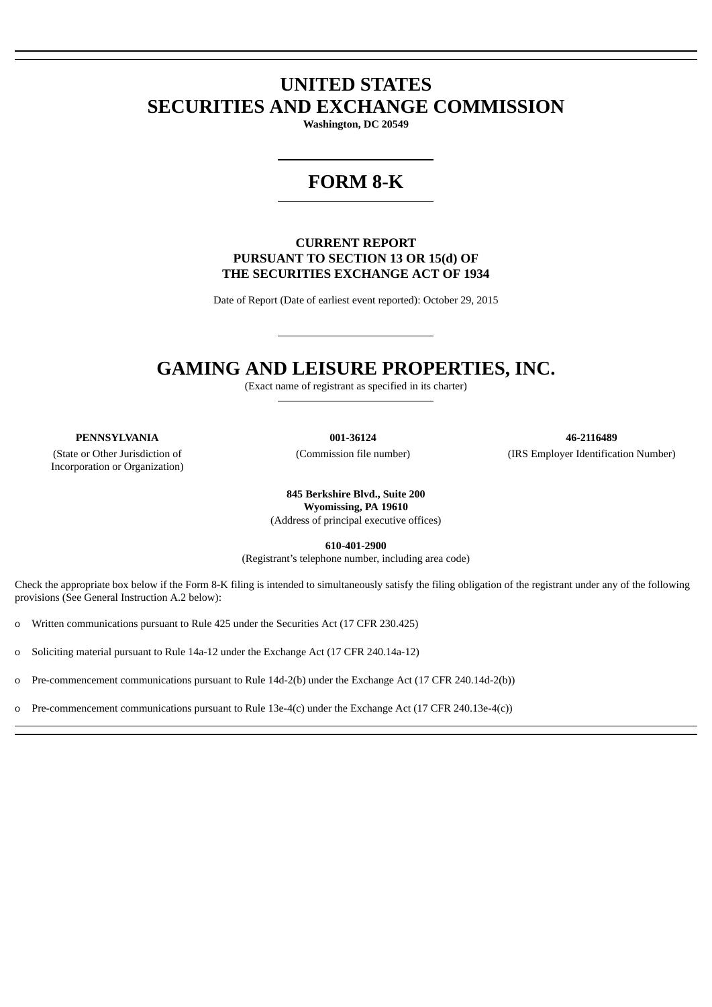# **UNITED STATES SECURITIES AND EXCHANGE COMMISSION**

**Washington, DC 20549**

# **FORM 8-K**

# **CURRENT REPORT PURSUANT TO SECTION 13 OR 15(d) OF THE SECURITIES EXCHANGE ACT OF 1934**

Date of Report (Date of earliest event reported): October 29, 2015

# **GAMING AND LEISURE PROPERTIES, INC.**

(Exact name of registrant as specified in its charter)

(State or Other Jurisdiction of Incorporation or Organization)

**PENNSYLVANIA 001-36124 46-2116489** (Commission file number) (IRS Employer Identification Number)

> **845 Berkshire Blvd., Suite 200 Wyomissing, PA 19610** (Address of principal executive offices)

> > **610-401-2900**

(Registrant's telephone number, including area code)

Check the appropriate box below if the Form 8-K filing is intended to simultaneously satisfy the filing obligation of the registrant under any of the following provisions (See General Instruction A.2 below):

o Written communications pursuant to Rule 425 under the Securities Act (17 CFR 230.425)

o Soliciting material pursuant to Rule 14a-12 under the Exchange Act (17 CFR 240.14a-12)

o Pre-commencement communications pursuant to Rule 14d-2(b) under the Exchange Act (17 CFR 240.14d-2(b))

o Pre-commencement communications pursuant to Rule 13e-4(c) under the Exchange Act (17 CFR 240.13e-4(c))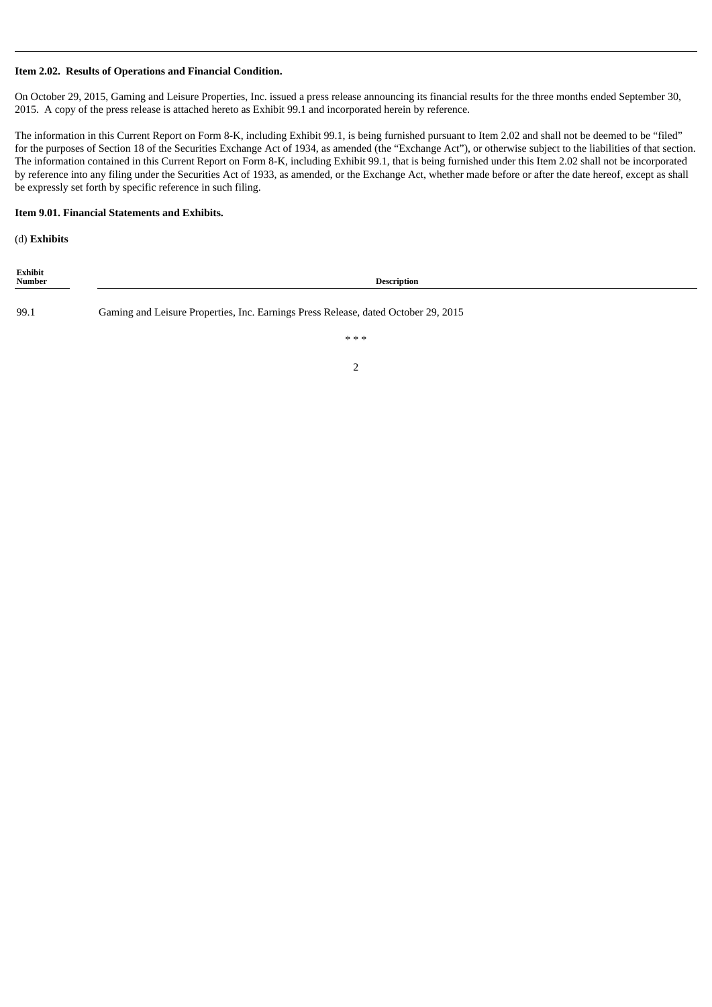## **Item 2.02. Results of Operations and Financial Condition.**

On October 29, 2015, Gaming and Leisure Properties, Inc. issued a press release announcing its financial results for the three months ended September 30, 2015. A copy of the press release is attached hereto as Exhibit 99.1 and incorporated herein by reference.

The information in this Current Report on Form 8-K, including Exhibit 99.1, is being furnished pursuant to Item 2.02 and shall not be deemed to be "filed" for the purposes of Section 18 of the Securities Exchange Act of 1934, as amended (the "Exchange Act"), or otherwise subject to the liabilities of that section. The information contained in this Current Report on Form 8-K, including Exhibit 99.1, that is being furnished under this Item 2.02 shall not be incorporated by reference into any filing under the Securities Act of 1933, as amended, or the Exchange Act, whether made before or after the date hereof, except as shall be expressly set forth by specific reference in such filing.

#### **Item 9.01. Financial Statements and Exhibits.**

(d) **Exhibits**

| Exhibit<br>Number | <b>Description</b>                                                                 |
|-------------------|------------------------------------------------------------------------------------|
| 99.1              | Gaming and Leisure Properties, Inc. Earnings Press Release, dated October 29, 2015 |
|                   | ***                                                                                |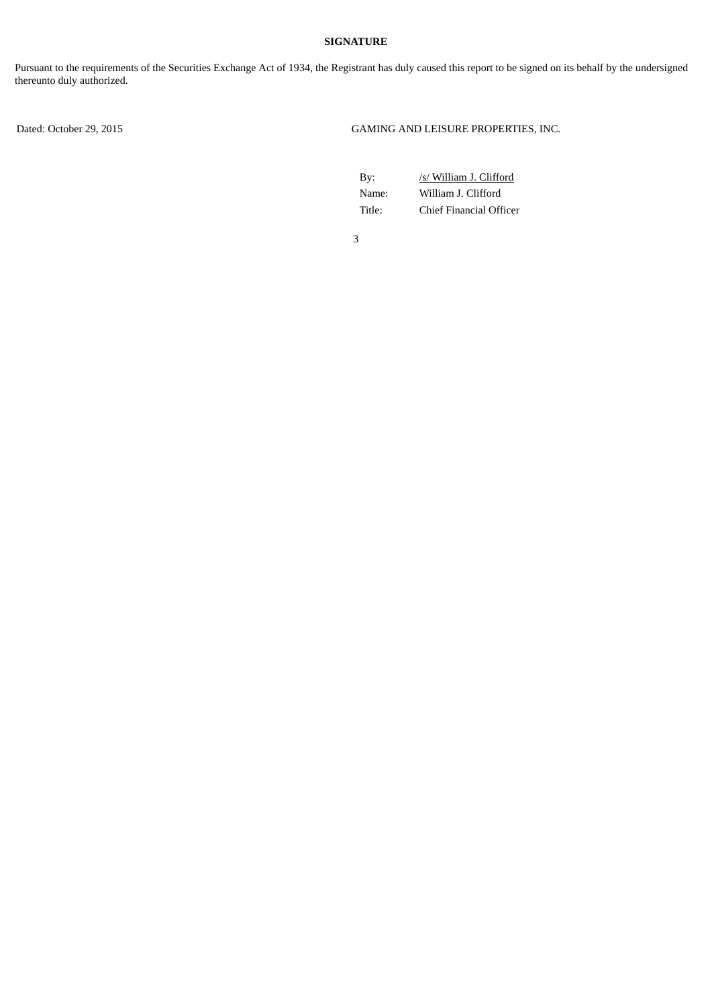# **SIGNATURE**

Pursuant to the requirements of the Securities Exchange Act of 1934, the Registrant has duly caused this report to be signed on its behalf by the undersigned thereunto duly authorized.

Dated: October 29, 2015 GAMING AND LEISURE PROPERTIES, INC.

| Bv:    | /s/ William J. Clifford |
|--------|-------------------------|
| Name:  | William J. Clifford     |
| Title: | Chief Financial Officer |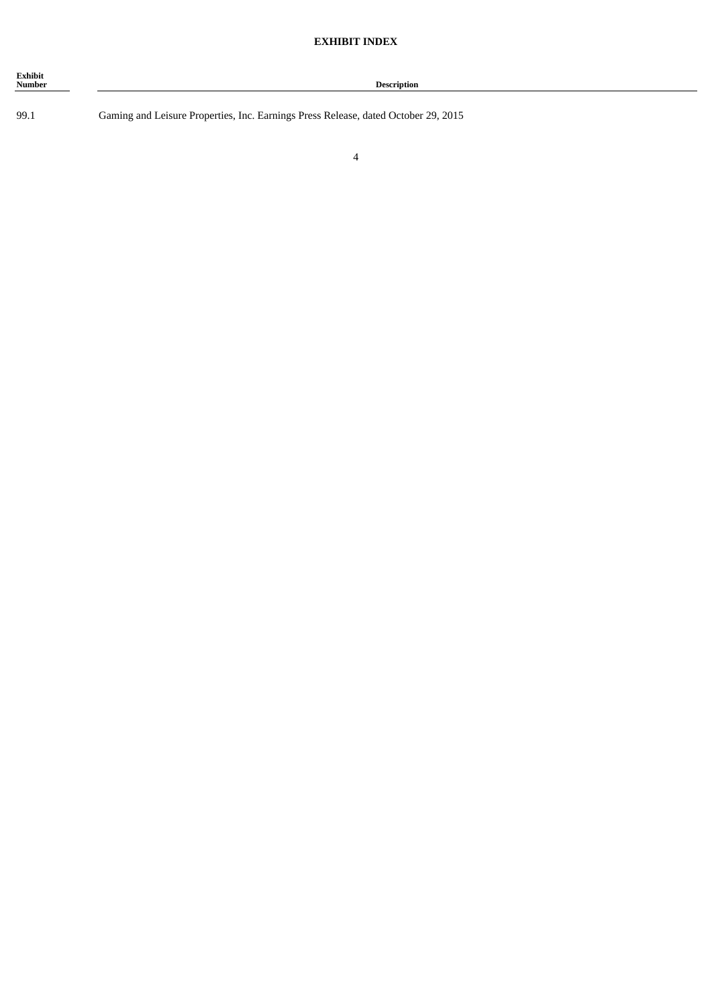| Exhibit<br><b>Number</b> | <b>Description</b> |
|--------------------------|--------------------|
|                          |                    |

99.1 Gaming and Leisure Properties, Inc. Earnings Press Release, dated October 29, 2015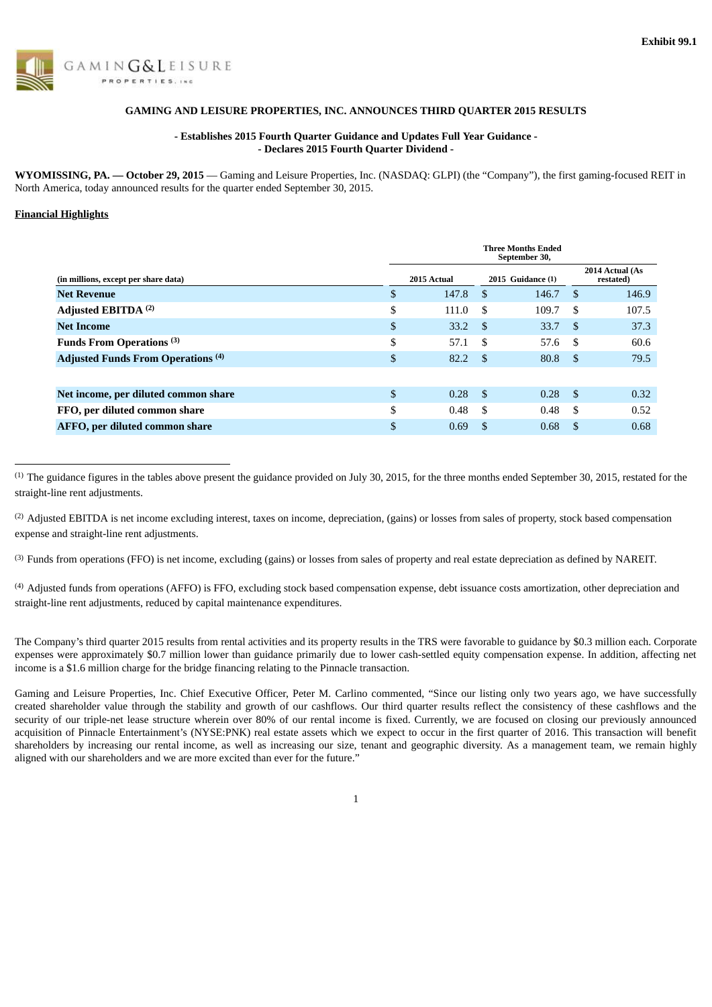

#### **GAMING AND LEISURE PROPERTIES, INC. ANNOUNCES THIRD QUARTER 2015 RESULTS**

#### **- Establishes 2015 Fourth Quarter Guidance and Updates Full Year Guidance - - Declares 2015 Fourth Quarter Dividend -**

**WYOMISSING, PA. — October 29, 2015** — Gaming and Leisure Properties, Inc. (NASDAQ: GLPI) (the "Company"), the first gaming-focused REIT in North America, today announced results for the quarter ended September 30, 2015.

#### **Financial Highlights**

|                                           | <b>Three Months Ended</b><br>September 30, |               |                   |                              |       |  |  |  |  |  |  |
|-------------------------------------------|--------------------------------------------|---------------|-------------------|------------------------------|-------|--|--|--|--|--|--|
| (in millions, except per share data)      | 2015 Actual                                |               | 2015 Guidance (1) | 2014 Actual (As<br>restated) |       |  |  |  |  |  |  |
| <b>Net Revenue</b>                        | \$<br>147.8                                | <sup>\$</sup> | 146.7             | -S                           | 146.9 |  |  |  |  |  |  |
| Adjusted EBITDA <sup>(2)</sup>            | \$<br>111.0                                | \$            | 109.7             | -S                           | 107.5 |  |  |  |  |  |  |
| <b>Net Income</b>                         | \$<br>33.2                                 | \$            | 33.7              | - \$                         | 37.3  |  |  |  |  |  |  |
| Funds From Operations <sup>(3)</sup>      | \$<br>57.1                                 | \$.           | 57.6              | - \$                         | 60.6  |  |  |  |  |  |  |
| <b>Adjusted Funds From Operations (4)</b> | \$<br>82.2                                 | -S            | 80.8              | - \$                         | 79.5  |  |  |  |  |  |  |
|                                           |                                            |               |                   |                              |       |  |  |  |  |  |  |
| Net income, per diluted common share      | \$<br>0.28                                 | -\$           | 0.28              | - \$                         | 0.32  |  |  |  |  |  |  |
| FFO, per diluted common share             | \$<br>0.48                                 | \$.           | 0.48              | -S                           | 0.52  |  |  |  |  |  |  |
| AFFO, per diluted common share            | \$<br>0.69                                 | S             | 0.68              | -S                           | 0.68  |  |  |  |  |  |  |

 $<sup>(1)</sup>$  The guidance figures in the tables above present the guidance provided on July 30, 2015, for the three months ended September 30, 2015, restated for the</sup> straight-line rent adjustments.

<sup>(2)</sup> Adjusted EBITDA is net income excluding interest, taxes on income, depreciation, (gains) or losses from sales of property, stock based compensation expense and straight-line rent adjustments.

<sup>(3)</sup> Funds from operations (FFO) is net income, excluding (gains) or losses from sales of property and real estate depreciation as defined by NAREIT.

<sup>(4)</sup> Adjusted funds from operations (AFFO) is FFO, excluding stock based compensation expense, debt issuance costs amortization, other depreciation and straight-line rent adjustments, reduced by capital maintenance expenditures.

The Company's third quarter 2015 results from rental activities and its property results in the TRS were favorable to guidance by \$0.3 million each. Corporate expenses were approximately \$0.7 million lower than guidance primarily due to lower cash-settled equity compensation expense. In addition, affecting net income is a \$1.6 million charge for the bridge financing relating to the Pinnacle transaction.

Gaming and Leisure Properties, Inc. Chief Executive Officer, Peter M. Carlino commented, "Since our listing only two years ago, we have successfully created shareholder value through the stability and growth of our cashflows. Our third quarter results reflect the consistency of these cashflows and the security of our triple-net lease structure wherein over 80% of our rental income is fixed. Currently, we are focused on closing our previously announced acquisition of Pinnacle Entertainment's (NYSE:PNK) real estate assets which we expect to occur in the first quarter of 2016. This transaction will benefit shareholders by increasing our rental income, as well as increasing our size, tenant and geographic diversity. As a management team, we remain highly aligned with our shareholders and we are more excited than ever for the future."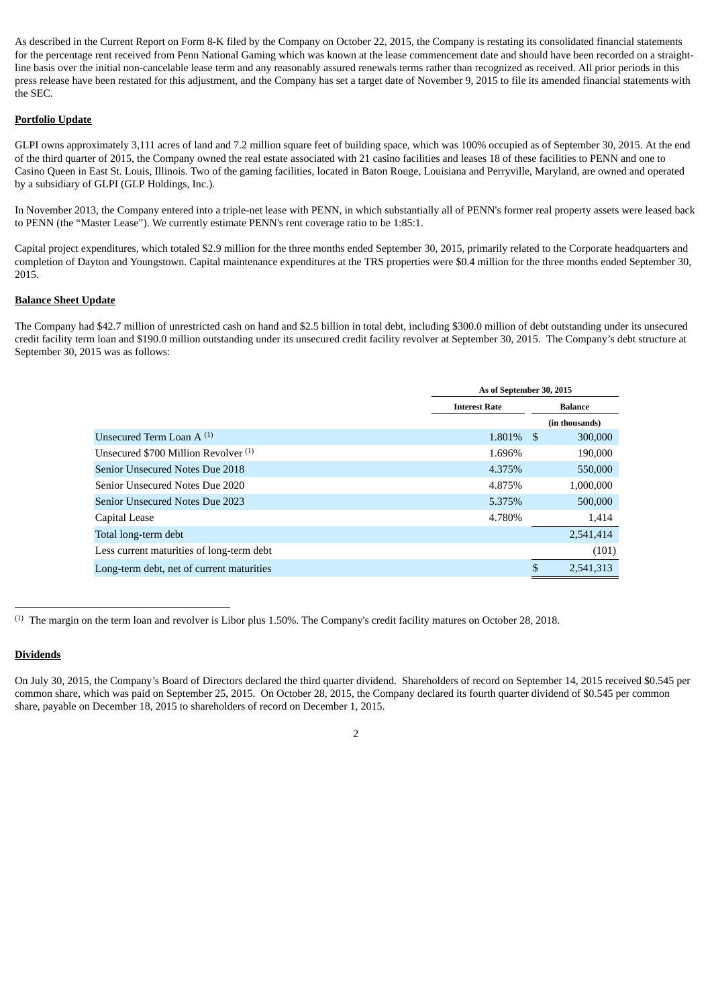As described in the Current Report on Form 8-K filed by the Company on October 22, 2015, the Company is restating its consolidated financial statements for the percentage rent received from Penn National Gaming which was known at the lease commencement date and should have been recorded on a straightline basis over the initial non-cancelable lease term and any reasonably assured renewals terms rather than recognized as received. All prior periods in this press release have been restated for this adjustment, and the Company has set a target date of November 9, 2015 to file its amended financial statements with the SEC.

## **Portfolio Update**

GLPI owns approximately 3,111 acres of land and 7.2 million square feet of building space, which was 100% occupied as of September 30, 2015. At the end of the third quarter of 2015, the Company owned the real estate associated with 21 casino facilities and leases 18 of these facilities to PENN and one to Casino Queen in East St. Louis, Illinois. Two of the gaming facilities, located in Baton Rouge, Louisiana and Perryville, Maryland, are owned and operated by a subsidiary of GLPI (GLP Holdings, Inc.).

In November 2013, the Company entered into a triple-net lease with PENN, in which substantially all of PENN's former real property assets were leased back to PENN (the "Master Lease"). We currently estimate PENN's rent coverage ratio to be 1:85:1.

Capital project expenditures, which totaled \$2.9 million for the three months ended September 30, 2015, primarily related to the Corporate headquarters and completion of Dayton and Youngstown. Capital maintenance expenditures at the TRS properties were \$0.4 million for the three months ended September 30, 2015.

## **Balance Sheet Update**

The Company had \$42.7 million of unrestricted cash on hand and \$2.5 billion in total debt, including \$300.0 million of debt outstanding under its unsecured credit facility term loan and \$190.0 million outstanding under its unsecured credit facility revolver at September 30, 2015. The Company's debt structure at September 30, 2015 was as follows:

|                                           | As of September 30, 2015 |    |                |  |  |  |  |  |
|-------------------------------------------|--------------------------|----|----------------|--|--|--|--|--|
|                                           | <b>Interest Rate</b>     |    | Balance        |  |  |  |  |  |
|                                           |                          |    | (in thousands) |  |  |  |  |  |
| Unsecured Term Loan $A^{(1)}$             | 1.801\% \$               |    | 300,000        |  |  |  |  |  |
| Unsecured \$700 Million Revolver (1)      | 1.696%                   |    | 190,000        |  |  |  |  |  |
| Senior Unsecured Notes Due 2018           | 4.375%                   |    | 550,000        |  |  |  |  |  |
| Senior Unsecured Notes Due 2020           | 4.875%                   |    | 1,000,000      |  |  |  |  |  |
| <b>Senior Unsecured Notes Due 2023</b>    | 5.375%                   |    | 500,000        |  |  |  |  |  |
| Capital Lease                             | 4.780%                   |    | 1,414          |  |  |  |  |  |
| Total long-term debt                      |                          |    | 2,541,414      |  |  |  |  |  |
| Less current maturities of long-term debt |                          |    | (101)          |  |  |  |  |  |
| Long-term debt, net of current maturities |                          | \$ | 2,541,313      |  |  |  |  |  |

 $<sup>(1)</sup>$  The margin on the term loan and revolver is Libor plus 1.50%. The Company's credit facility matures on October 28, 2018.</sup>

## **Dividends**

On July 30, 2015, the Company's Board of Directors declared the third quarter dividend. Shareholders of record on September 14, 2015 received \$0.545 per common share, which was paid on September 25, 2015. On October 28, 2015, the Company declared its fourth quarter dividend of \$0.545 per common share, payable on December 18, 2015 to shareholders of record on December 1, 2015.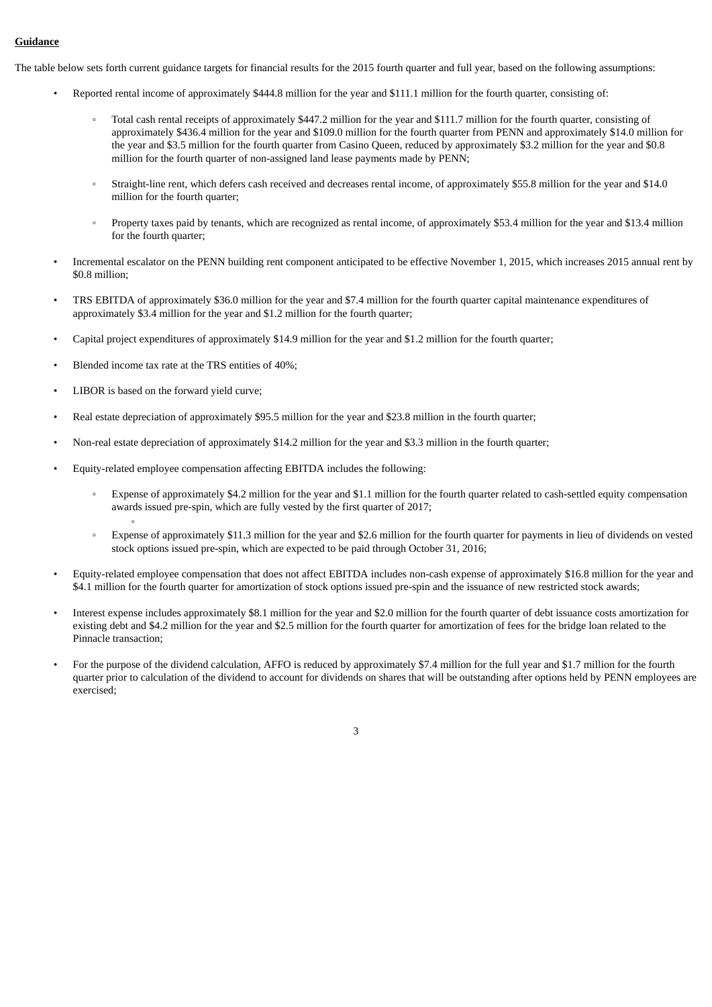#### **Guidance**

The table below sets forth current guidance targets for financial results for the 2015 fourth quarter and full year, based on the following assumptions:

- Reported rental income of approximately \$444.8 million for the year and \$111.1 million for the fourth quarter, consisting of:
	- Total cash rental receipts of approximately \$447.2 million for the year and \$111.7 million for the fourth quarter, consisting of approximately \$436.4 million for the year and \$109.0 million for the fourth quarter from PENN and approximately \$14.0 million for the year and \$3.5 million for the fourth quarter from Casino Queen, reduced by approximately \$3.2 million for the year and \$0.8 million for the fourth quarter of non-assigned land lease payments made by PENN;
	- Straight-line rent, which defers cash received and decreases rental income, of approximately \$55.8 million for the year and \$14.0 million for the fourth quarter;
	- Property taxes paid by tenants, which are recognized as rental income, of approximately \$53.4 million for the year and \$13.4 million for the fourth quarter;
- Incremental escalator on the PENN building rent component anticipated to be effective November 1, 2015, which increases 2015 annual rent by \$0.8 million;
- TRS EBITDA of approximately \$36.0 million for the year and \$7.4 million for the fourth quarter capital maintenance expenditures of approximately \$3.4 million for the year and \$1.2 million for the fourth quarter;
- Capital project expenditures of approximately \$14.9 million for the year and \$1.2 million for the fourth quarter;
- Blended income tax rate at the TRS entities of 40%;
- LIBOR is based on the forward yield curve;

◦

- Real estate depreciation of approximately \$95.5 million for the year and \$23.8 million in the fourth quarter;
- Non-real estate depreciation of approximately \$14.2 million for the year and \$3.3 million in the fourth quarter;
- Equity-related employee compensation affecting EBITDA includes the following:
	- Expense of approximately \$4.2 million for the year and \$1.1 million for the fourth quarter related to cash-settled equity compensation awards issued pre-spin, which are fully vested by the first quarter of 2017;
	- Expense of approximately \$11.3 million for the year and \$2.6 million for the fourth quarter for payments in lieu of dividends on vested stock options issued pre-spin, which are expected to be paid through October 31, 2016;
- Equity-related employee compensation that does not affect EBITDA includes non-cash expense of approximately \$16.8 million for the year and \$4.1 million for the fourth quarter for amortization of stock options issued pre-spin and the issuance of new restricted stock awards;
- Interest expense includes approximately \$8.1 million for the year and \$2.0 million for the fourth quarter of debt issuance costs amortization for existing debt and \$4.2 million for the year and \$2.5 million for the fourth quarter for amortization of fees for the bridge loan related to the Pinnacle transaction;
- For the purpose of the dividend calculation, AFFO is reduced by approximately \$7.4 million for the full year and \$1.7 million for the fourth quarter prior to calculation of the dividend to account for dividends on shares that will be outstanding after options held by PENN employees are exercised;
	- 3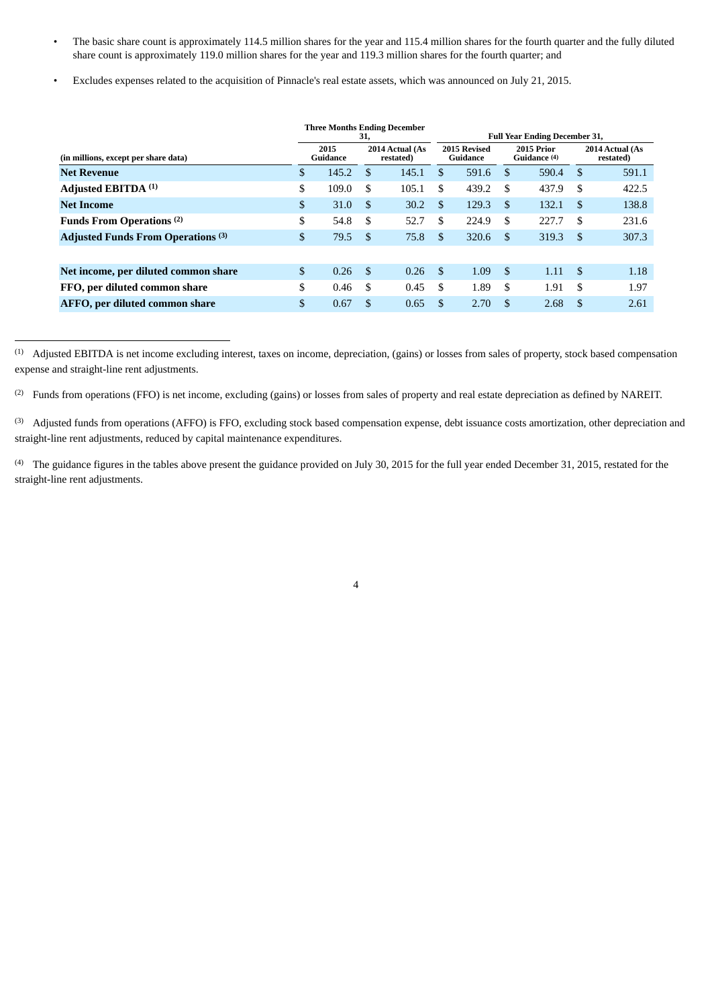- The basic share count is approximately 114.5 million shares for the year and 115.4 million shares for the fourth quarter and the fully diluted share count is approximately 119.0 million shares for the year and 119.3 million shares for the fourth quarter; and
- Excludes expenses related to the acquisition of Pinnacle's real estate assets, which was announced on July 21, 2015.

|                                           |                  | 31,           | <b>Three Months Ending December</b> |               |                                                        | <b>Full Year Ending December 31,</b> |       |     |       |  |  |  |                              |
|-------------------------------------------|------------------|---------------|-------------------------------------|---------------|--------------------------------------------------------|--------------------------------------|-------|-----|-------|--|--|--|------------------------------|
| (in millions, except per share data)      | 2015<br>Guidance |               | 2014 Actual (As<br>restated)        |               | 2015 Revised<br>2015 Prior<br>Guidance<br>Guidance (4) |                                      |       |     |       |  |  |  | 2014 Actual (As<br>restated) |
| <b>Net Revenue</b>                        | \$<br>145.2      | <sup>\$</sup> | 145.1                               | \$.           | 591.6                                                  | \$                                   | 590.4 | -S  | 591.1 |  |  |  |                              |
| Adjusted EBITDA <sup>(1)</sup>            | \$<br>109.0      | \$            | 105.1                               | \$            | 439.2                                                  | \$                                   | 437.9 | \$  | 422.5 |  |  |  |                              |
| <b>Net Income</b>                         | \$<br>31.0       | \$            | 30.2                                | $\mathcal{S}$ | 129.3                                                  | \$                                   | 132.1 | -S  | 138.8 |  |  |  |                              |
| Funds From Operations <sup>(2)</sup>      | \$<br>54.8       | S.            | 52.7                                | \$            | 224.9                                                  | \$.                                  | 227.7 | \$. | 231.6 |  |  |  |                              |
| <b>Adjusted Funds From Operations (3)</b> | \$<br>79.5       | <sup>\$</sup> | 75.8                                | \$.           | 320.6                                                  | \$.                                  | 319.3 | \$. | 307.3 |  |  |  |                              |
|                                           |                  |               |                                     |               |                                                        |                                      |       |     |       |  |  |  |                              |
| Net income, per diluted common share      | \$<br>0.26       | -\$           | 0.26                                | <sup>\$</sup> | 1.09                                                   | \$                                   | 1.11  | -\$ | 1.18  |  |  |  |                              |
| FFO, per diluted common share             | \$<br>0.46       | \$            | 0.45                                | \$            | 1.89                                                   | \$                                   | 1.91  | \$  | 1.97  |  |  |  |                              |
| AFFO, per diluted common share            | \$<br>0.67       | S             | 0.65                                | \$.           | 2.70                                                   | S                                    | 2.68  | \$. | 2.61  |  |  |  |                              |

 $<sup>(1)</sup>$  Adjusted EBITDA is net income excluding interest, taxes on income, depreciation, (gains) or losses from sales of property, stock based compensation</sup> expense and straight-line rent adjustments.

<sup>(2)</sup> Funds from operations (FFO) is net income, excluding (gains) or losses from sales of property and real estate depreciation as defined by NAREIT.

(3) Adjusted funds from operations (AFFO) is FFO, excluding stock based compensation expense, debt issuance costs amortization, other depreciation and straight-line rent adjustments, reduced by capital maintenance expenditures.

 $^{(4)}$  The guidance figures in the tables above present the guidance provided on July 30, 2015 for the full year ended December 31, 2015, restated for the straight-line rent adjustments.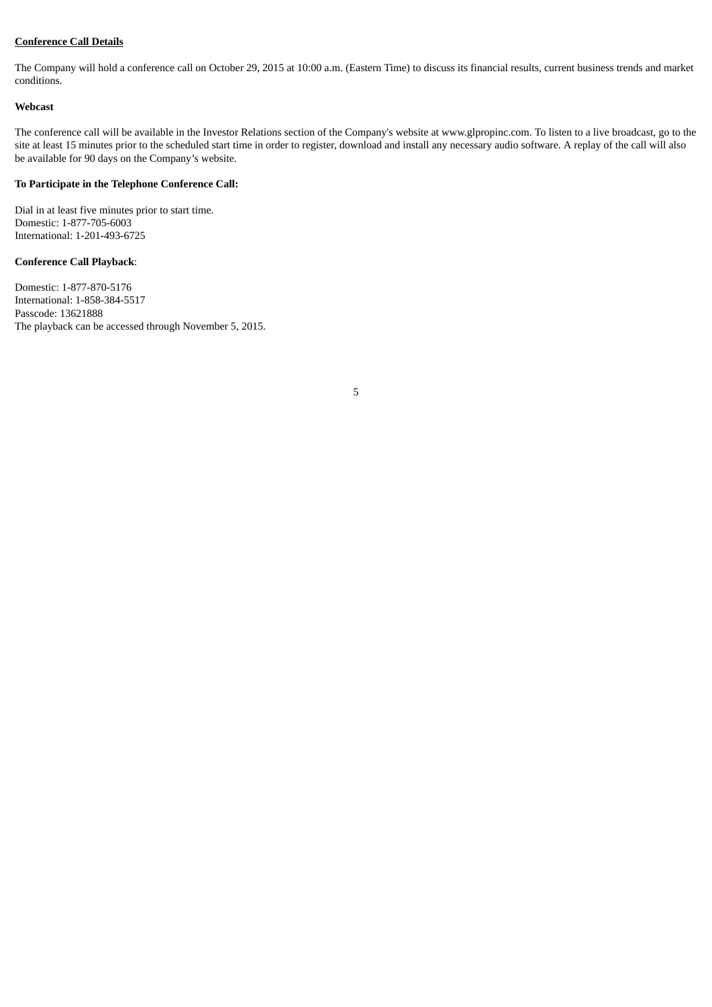# **Conference Call Details**

The Company will hold a conference call on October 29, 2015 at 10:00 a.m. (Eastern Time) to discuss its financial results, current business trends and market conditions.

#### **Webcast**

The conference call will be available in the Investor Relations section of the Company's website at www.glpropinc.com. To listen to a live broadcast, go to the site at least 15 minutes prior to the scheduled start time in order to register, download and install any necessary audio software. A replay of the call will also be available for 90 days on the Company's website.

#### **To Participate in the Telephone Conference Call:**

Dial in at least five minutes prior to start time. Domestic: 1-877-705-6003 International: 1-201-493-6725

#### **Conference Call Playback**:

Domestic: 1-877-870-5176 International: 1-858-384-5517 Passcode: 13621888 The playback can be accessed through November 5, 2015.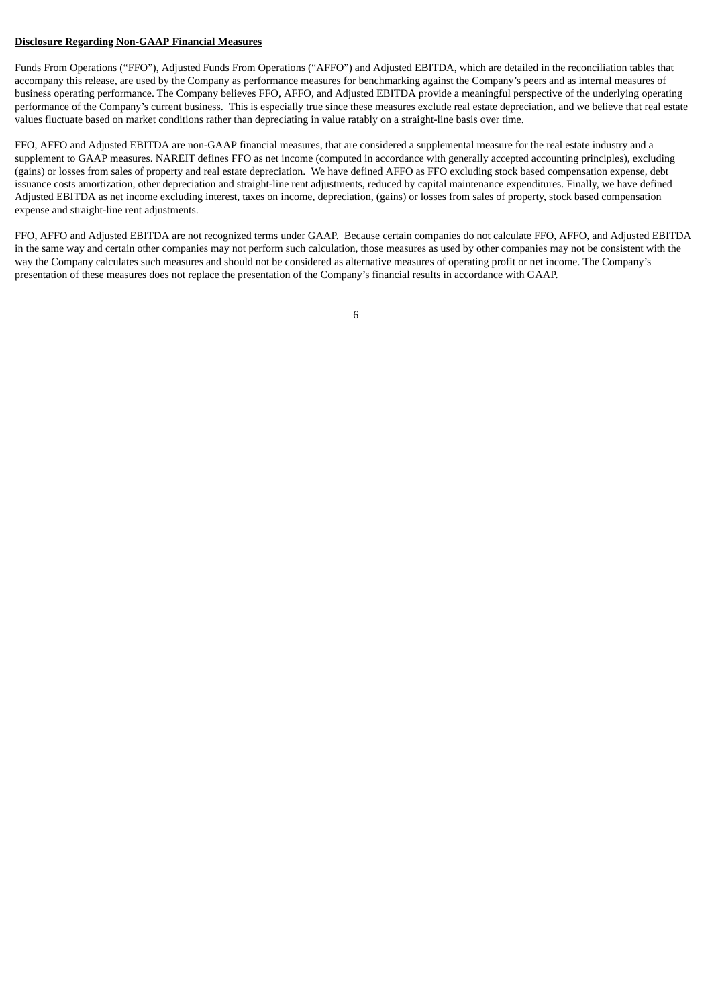#### **Disclosure Regarding Non-GAAP Financial Measures**

Funds From Operations ("FFO"), Adjusted Funds From Operations ("AFFO") and Adjusted EBITDA, which are detailed in the reconciliation tables that accompany this release, are used by the Company as performance measures for benchmarking against the Company's peers and as internal measures of business operating performance. The Company believes FFO, AFFO, and Adjusted EBITDA provide a meaningful perspective of the underlying operating performance of the Company's current business. This is especially true since these measures exclude real estate depreciation, and we believe that real estate values fluctuate based on market conditions rather than depreciating in value ratably on a straight-line basis over time.

FFO, AFFO and Adjusted EBITDA are non-GAAP financial measures, that are considered a supplemental measure for the real estate industry and a supplement to GAAP measures. NAREIT defines FFO as net income (computed in accordance with generally accepted accounting principles), excluding (gains) or losses from sales of property and real estate depreciation. We have defined AFFO as FFO excluding stock based compensation expense, debt issuance costs amortization, other depreciation and straight-line rent adjustments, reduced by capital maintenance expenditures. Finally, we have defined Adjusted EBITDA as net income excluding interest, taxes on income, depreciation, (gains) or losses from sales of property, stock based compensation expense and straight-line rent adjustments.

FFO, AFFO and Adjusted EBITDA are not recognized terms under GAAP. Because certain companies do not calculate FFO, AFFO, and Adjusted EBITDA in the same way and certain other companies may not perform such calculation, those measures as used by other companies may not be consistent with the way the Company calculates such measures and should not be considered as alternative measures of operating profit or net income. The Company's presentation of these measures does not replace the presentation of the Company's financial results in accordance with GAAP.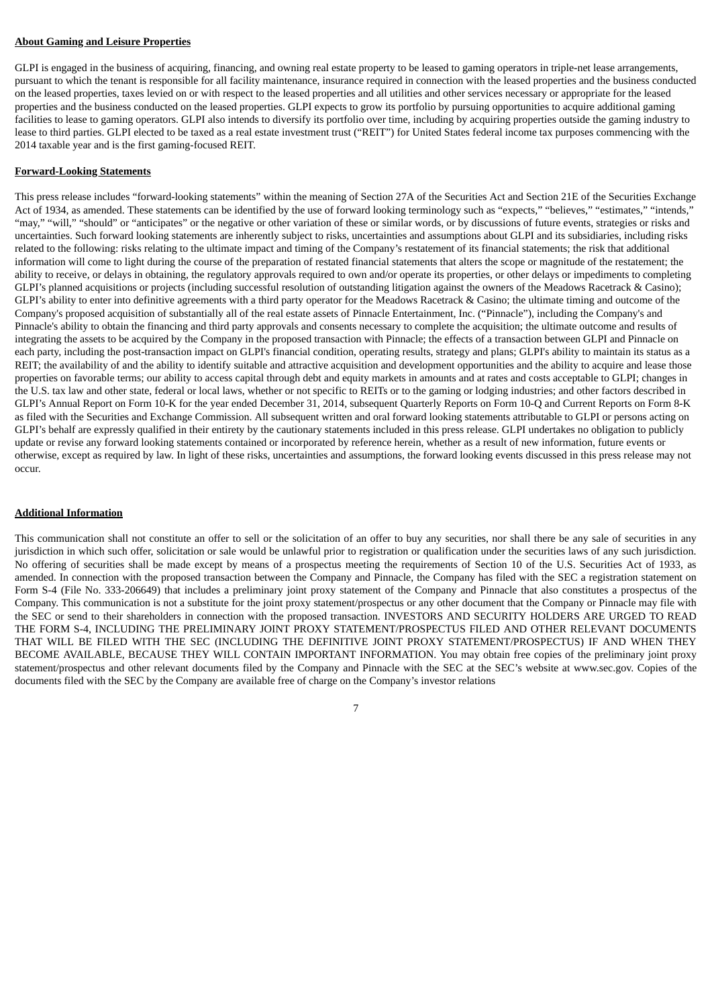#### **About Gaming and Leisure Properties**

GLPI is engaged in the business of acquiring, financing, and owning real estate property to be leased to gaming operators in triple-net lease arrangements, pursuant to which the tenant is responsible for all facility maintenance, insurance required in connection with the leased properties and the business conducted on the leased properties, taxes levied on or with respect to the leased properties and all utilities and other services necessary or appropriate for the leased properties and the business conducted on the leased properties. GLPI expects to grow its portfolio by pursuing opportunities to acquire additional gaming facilities to lease to gaming operators. GLPI also intends to diversify its portfolio over time, including by acquiring properties outside the gaming industry to lease to third parties. GLPI elected to be taxed as a real estate investment trust ("REIT") for United States federal income tax purposes commencing with the 2014 taxable year and is the first gaming-focused REIT.

#### **Forward-Looking Statements**

This press release includes "forward-looking statements" within the meaning of Section 27A of the Securities Act and Section 21E of the Securities Exchange Act of 1934, as amended. These statements can be identified by the use of forward looking terminology such as "expects," "believes," "estimates," "intends," "may," "will," "should" or "anticipates" or the negative or other variation of these or similar words, or by discussions of future events, strategies or risks and uncertainties. Such forward looking statements are inherently subject to risks, uncertainties and assumptions about GLPI and its subsidiaries, including risks related to the following: risks relating to the ultimate impact and timing of the Company's restatement of its financial statements; the risk that additional information will come to light during the course of the preparation of restated financial statements that alters the scope or magnitude of the restatement; the ability to receive, or delays in obtaining, the regulatory approvals required to own and/or operate its properties, or other delays or impediments to completing GLPI's planned acquisitions or projects (including successful resolution of outstanding litigation against the owners of the Meadows Racetrack & Casino); GLPI's ability to enter into definitive agreements with a third party operator for the Meadows Racetrack & Casino; the ultimate timing and outcome of the Company's proposed acquisition of substantially all of the real estate assets of Pinnacle Entertainment, Inc. ("Pinnacle"), including the Company's and Pinnacle's ability to obtain the financing and third party approvals and consents necessary to complete the acquisition; the ultimate outcome and results of integrating the assets to be acquired by the Company in the proposed transaction with Pinnacle; the effects of a transaction between GLPI and Pinnacle on each party, including the post-transaction impact on GLPI's financial condition, operating results, strategy and plans; GLPI's ability to maintain its status as a REIT; the availability of and the ability to identify suitable and attractive acquisition and development opportunities and the ability to acquire and lease those properties on favorable terms; our ability to access capital through debt and equity markets in amounts and at rates and costs acceptable to GLPI; changes in the U.S. tax law and other state, federal or local laws, whether or not specific to REITs or to the gaming or lodging industries; and other factors described in GLPI's Annual Report on Form 10-K for the year ended December 31, 2014, subsequent Quarterly Reports on Form 10-Q and Current Reports on Form 8-K as filed with the Securities and Exchange Commission. All subsequent written and oral forward looking statements attributable to GLPI or persons acting on GLPI's behalf are expressly qualified in their entirety by the cautionary statements included in this press release. GLPI undertakes no obligation to publicly update or revise any forward looking statements contained or incorporated by reference herein, whether as a result of new information, future events or otherwise, except as required by law. In light of these risks, uncertainties and assumptions, the forward looking events discussed in this press release may not occur.

#### **Additional Information**

This communication shall not constitute an offer to sell or the solicitation of an offer to buy any securities, nor shall there be any sale of securities in any jurisdiction in which such offer, solicitation or sale would be unlawful prior to registration or qualification under the securities laws of any such jurisdiction. No offering of securities shall be made except by means of a prospectus meeting the requirements of Section 10 of the U.S. Securities Act of 1933, as amended. In connection with the proposed transaction between the Company and Pinnacle, the Company has filed with the SEC a registration statement on Form S-4 (File No. 333-206649) that includes a preliminary joint proxy statement of the Company and Pinnacle that also constitutes a prospectus of the Company. This communication is not a substitute for the joint proxy statement/prospectus or any other document that the Company or Pinnacle may file with the SEC or send to their shareholders in connection with the proposed transaction. INVESTORS AND SECURITY HOLDERS ARE URGED TO READ THE FORM S-4, INCLUDING THE PRELIMINARY JOINT PROXY STATEMENT/PROSPECTUS FILED AND OTHER RELEVANT DOCUMENTS THAT WILL BE FILED WITH THE SEC (INCLUDING THE DEFINITIVE JOINT PROXY STATEMENT/PROSPECTUS) IF AND WHEN THEY BECOME AVAILABLE, BECAUSE THEY WILL CONTAIN IMPORTANT INFORMATION. You may obtain free copies of the preliminary joint proxy statement/prospectus and other relevant documents filed by the Company and Pinnacle with the SEC at the SEC's website at www.sec.gov. Copies of the documents filed with the SEC by the Company are available free of charge on the Company's investor relations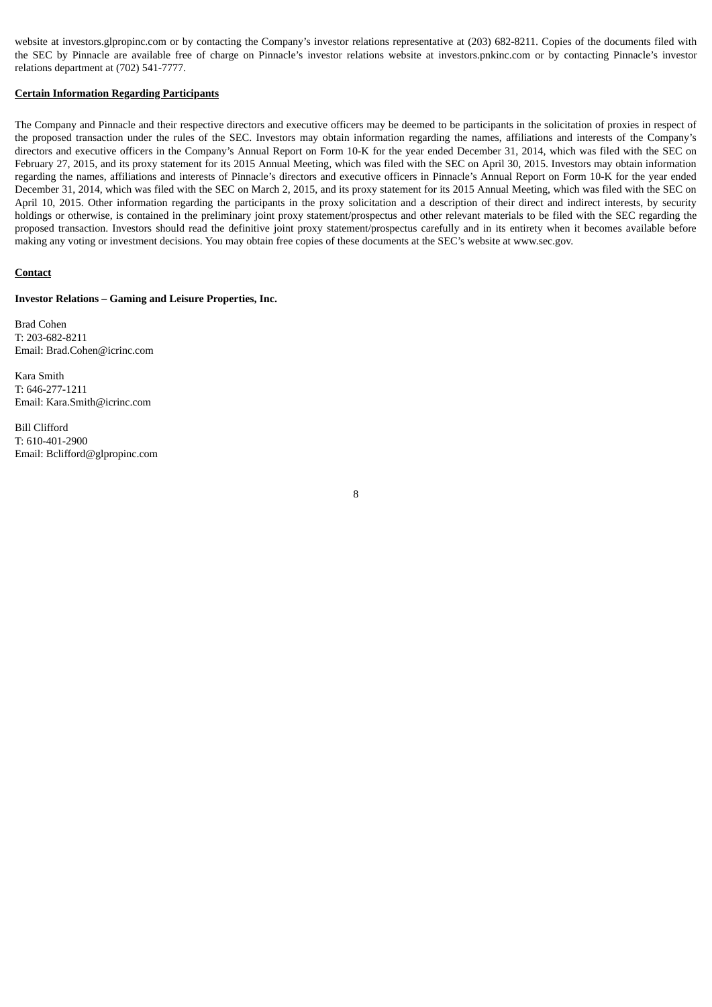website at investors.glpropinc.com or by contacting the Company's investor relations representative at (203) 682-8211. Copies of the documents filed with the SEC by Pinnacle are available free of charge on Pinnacle's investor relations website at investors.pnkinc.com or by contacting Pinnacle's investor relations department at (702) 541-7777.

#### **Certain Information Regarding Participants**

The Company and Pinnacle and their respective directors and executive officers may be deemed to be participants in the solicitation of proxies in respect of the proposed transaction under the rules of the SEC. Investors may obtain information regarding the names, affiliations and interests of the Company's directors and executive officers in the Company's Annual Report on Form 10-K for the year ended December 31, 2014, which was filed with the SEC on February 27, 2015, and its proxy statement for its 2015 Annual Meeting, which was filed with the SEC on April 30, 2015. Investors may obtain information regarding the names, affiliations and interests of Pinnacle's directors and executive officers in Pinnacle's Annual Report on Form 10-K for the year ended December 31, 2014, which was filed with the SEC on March 2, 2015, and its proxy statement for its 2015 Annual Meeting, which was filed with the SEC on April 10, 2015. Other information regarding the participants in the proxy solicitation and a description of their direct and indirect interests, by security holdings or otherwise, is contained in the preliminary joint proxy statement/prospectus and other relevant materials to be filed with the SEC regarding the proposed transaction. Investors should read the definitive joint proxy statement/prospectus carefully and in its entirety when it becomes available before making any voting or investment decisions. You may obtain free copies of these documents at the SEC's website at www.sec.gov.

#### **Contact**

#### **Investor Relations – Gaming and Leisure Properties, Inc.**

Brad Cohen T: 203-682-8211 Email: Brad.Cohen@icrinc.com

Kara Smith T: 646-277-1211 Email: Kara.Smith@icrinc.com

Bill Clifford T: 610-401-2900 Email: Bclifford@glpropinc.com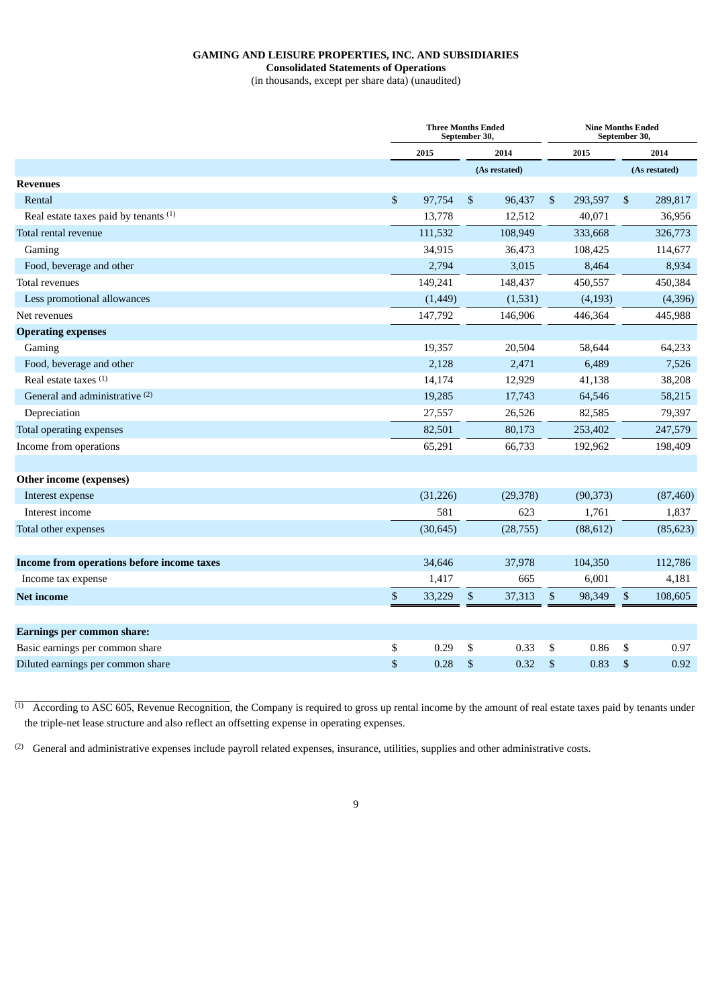## **GAMING AND LEISURE PROPERTIES, INC. AND SUBSIDIARIES**

**Consolidated Statements of Operations**

(in thousands, except per share data) (unaudited)

|                                            | <b>Three Months Ended</b><br>September 30, |                |               | <b>Nine Months Ended</b><br>September 30, |           |      |               |
|--------------------------------------------|--------------------------------------------|----------------|---------------|-------------------------------------------|-----------|------|---------------|
|                                            | 2015                                       |                | 2014          |                                           | 2015      |      | 2014          |
|                                            |                                            |                | (As restated) |                                           |           |      | (As restated) |
| <b>Revenues</b>                            |                                            |                |               |                                           |           |      |               |
| Rental                                     | \$<br>97,754                               | $\mathfrak{S}$ | 96,437        | \$                                        | 293,597   | \$   | 289,817       |
| Real estate taxes paid by tenants (1)      | 13,778                                     |                | 12,512        |                                           | 40,071    |      | 36,956        |
| Total rental revenue                       | 111,532                                    |                | 108,949       |                                           | 333,668   |      | 326,773       |
| Gaming                                     | 34,915                                     |                | 36,473        |                                           | 108,425   |      | 114,677       |
| Food, beverage and other                   | 2,794                                      |                | 3,015         |                                           | 8,464     |      | 8,934         |
| Total revenues                             | 149,241                                    |                | 148,437       |                                           | 450,557   |      | 450,384       |
| Less promotional allowances                | (1, 449)                                   |                | (1,531)       |                                           | (4, 193)  |      | (4,396)       |
| Net revenues                               | 147,792                                    |                | 146,906       |                                           | 446,364   |      | 445,988       |
| <b>Operating expenses</b>                  |                                            |                |               |                                           |           |      |               |
| Gaming                                     | 19,357                                     |                | 20,504        |                                           | 58,644    |      | 64,233        |
| Food, beverage and other                   | 2,128                                      |                | 2,471         |                                           | 6,489     |      | 7,526         |
| Real estate taxes <sup>(1)</sup>           | 14,174                                     |                | 12,929        |                                           | 41,138    |      | 38,208        |
| General and administrative <sup>(2)</sup>  | 19,285                                     |                | 17,743        |                                           | 64,546    |      | 58,215        |
| Depreciation                               | 27,557                                     |                | 26,526        |                                           | 82,585    |      | 79,397        |
| Total operating expenses                   | 82,501                                     |                | 80,173        |                                           | 253,402   |      | 247,579       |
| Income from operations                     | 65,291                                     |                | 66,733        |                                           | 192,962   |      | 198,409       |
| Other income (expenses)                    |                                            |                |               |                                           |           |      |               |
| Interest expense                           | (31, 226)                                  |                | (29, 378)     |                                           | (90, 373) |      | (87, 460)     |
| Interest income                            | 581                                        |                | 623           |                                           | 1,761     |      | 1,837         |
| Total other expenses                       | (30, 645)                                  |                | (28, 755)     |                                           | (88, 612) |      | (85, 623)     |
|                                            |                                            |                |               |                                           |           |      |               |
| Income from operations before income taxes | 34,646                                     |                | 37,978        |                                           | 104,350   |      | 112,786       |
| Income tax expense                         | 1,417                                      |                | 665           |                                           | 6,001     |      | 4,181         |
| <b>Net income</b>                          | \$<br>33,229                               | \$             | 37,313        | \$                                        | 98,349    | \$   | 108,605       |
| <b>Earnings per common share:</b>          |                                            |                |               |                                           |           |      |               |
| Basic earnings per common share            | \$<br>0.29                                 | \$             | 0.33          | \$                                        | 0.86      | \$   | 0.97          |
| Diluted earnings per common share          | \$<br>0.28                                 | $\sqrt{3}$     | 0.32          | \$                                        | 0.83      | $\,$ | 0.92          |
|                                            |                                            |                |               |                                           |           |      |               |

 $<sup>(1)</sup>$  According to ASC 605, Revenue Recognition, the Company is required to gross up rental income by the amount of real estate taxes paid by tenants under</sup> the triple-net lease structure and also reflect an offsetting expense in operating expenses.

 $^{(2)}$  General and administrative expenses include payroll related expenses, insurance, utilities, supplies and other administrative costs.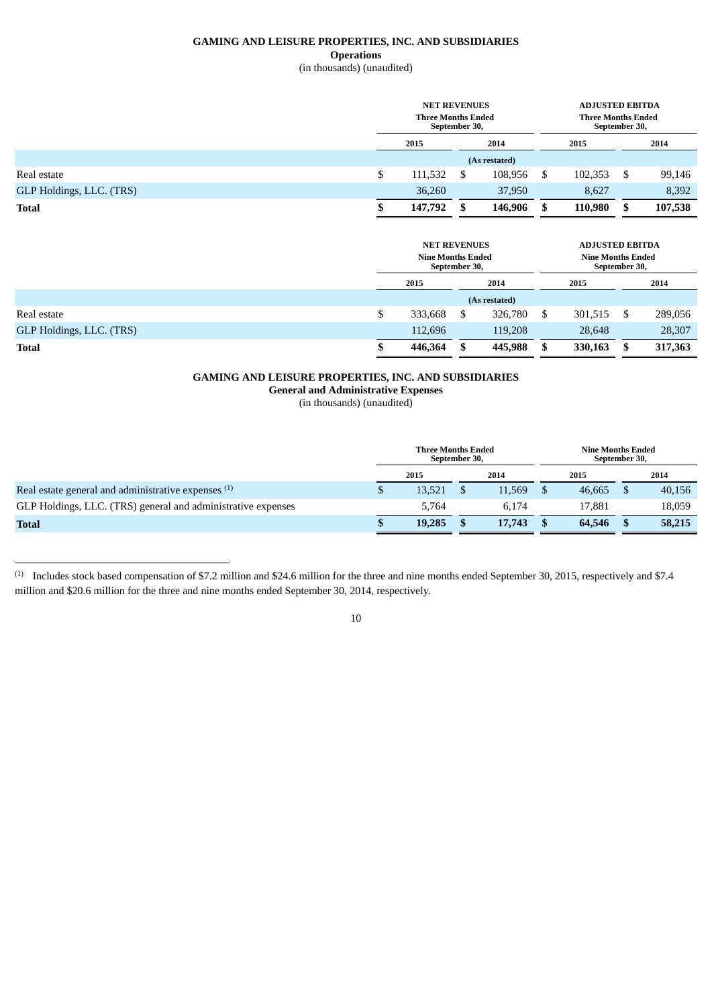## **GAMING AND LEISURE PROPERTIES, INC. AND SUBSIDIARIES Operations**

# (in thousands) (unaudited)

|                          |    | <b>NET REVENUES</b><br><b>Three Months Ended</b><br>September 30, |  |               |    | <b>ADJUSTED EBITDA</b><br><b>Three Months Ended</b><br>September 30, |         |
|--------------------------|----|-------------------------------------------------------------------|--|---------------|----|----------------------------------------------------------------------|---------|
|                          |    | 2015<br>2014                                                      |  | 2015          |    | 2014                                                                 |         |
|                          |    |                                                                   |  | (As restated) |    |                                                                      |         |
| Real estate              | \$ | 111,532                                                           |  | 108,956       | \$ | 102,353                                                              | 99,146  |
| GLP Holdings, LLC. (TRS) |    | 36,260                                                            |  | 37,950        |    | 8,627                                                                | 8,392   |
| <b>Total</b>             | Œ  | 147,792                                                           |  | 146,906       | J  | 110,980                                                              | 107,538 |

|                          |    | <b>NET REVENUES</b><br><b>Nine Months Ended</b><br>September 30, |    |               |      | <b>ADJUSTED EBITDA</b><br><b>Nine Months Ended</b><br>September 30, |  |         |
|--------------------------|----|------------------------------------------------------------------|----|---------------|------|---------------------------------------------------------------------|--|---------|
|                          |    | 2015<br>2014                                                     |    |               | 2015 |                                                                     |  | 2014    |
|                          |    |                                                                  |    | (As restated) |      |                                                                     |  |         |
| Real estate              | \$ | 333,668                                                          | \$ | 326,780       | \$   | 301,515                                                             |  | 289,056 |
| GLP Holdings, LLC. (TRS) |    | 112,696                                                          |    | 119,208       |      | 28,648                                                              |  | 28,307  |
| <b>Total</b>             | S  | 446,364                                                          |    | 445,988       | \$   | 330,163                                                             |  | 317,363 |

# **GAMING AND LEISURE PROPERTIES, INC. AND SUBSIDIARIES**

**General and Administrative Expenses**

(in thousands) (unaudited)

|                                                              | <b>Three Months Ended</b><br>September 30, |  |        | <b>Nine Months Ended</b><br>September 30, |        |  |        |
|--------------------------------------------------------------|--------------------------------------------|--|--------|-------------------------------------------|--------|--|--------|
|                                                              | 2015                                       |  | 2014   |                                           | 2015   |  | 2014   |
| Real estate general and administrative expenses (1)          | 13,521                                     |  | 11.569 |                                           | 46,665 |  | 40,156 |
| GLP Holdings, LLC. (TRS) general and administrative expenses | 5.764                                      |  | 6.174  |                                           | 17.881 |  | 18,059 |
| <b>Total</b>                                                 | 19.285                                     |  | 17,743 |                                           | 64,546 |  | 58,215 |

<sup>(1)</sup> Includes stock based compensation of \$7.2 million and \$24.6 million for the three and nine months ended September 30, 2015, respectively and \$7.4 million and \$20.6 million for the three and nine months ended September 30, 2014, respectively.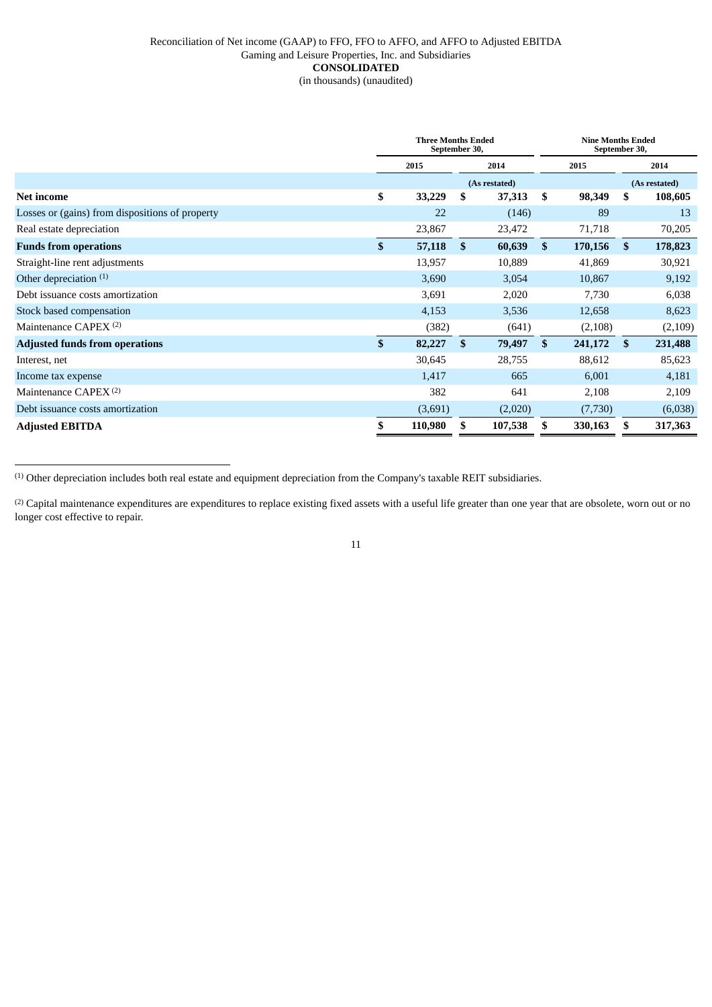## Reconciliation of Net income (GAAP) to FFO, FFO to AFFO, and AFFO to Adjusted EBITDA Gaming and Leisure Properties, Inc. and Subsidiaries **CONSOLIDATED** (in thousands) (unaudited)

|                                                 | <b>Three Months Ended</b><br>September 30, |         |               |               |    | <b>Nine Months Ended</b><br>September 30, |    |               |  |
|-------------------------------------------------|--------------------------------------------|---------|---------------|---------------|----|-------------------------------------------|----|---------------|--|
|                                                 |                                            | 2015    |               | 2014          |    | 2015                                      |    | 2014          |  |
|                                                 |                                            |         |               | (As restated) |    |                                           |    | (As restated) |  |
| <b>Net income</b>                               | \$                                         | 33,229  | \$            | 37,313        | \$ | 98,349                                    | \$ | 108,605       |  |
| Losses or (gains) from dispositions of property |                                            | 22      |               | (146)         |    | 89                                        |    | 13            |  |
| Real estate depreciation                        |                                            | 23,867  |               | 23,472        |    | 71,718                                    |    | 70,205        |  |
| <b>Funds from operations</b>                    | \$                                         | 57,118  | <sup>\$</sup> | 60,639        | \$ | 170,156                                   | \$ | 178,823       |  |
| Straight-line rent adjustments                  |                                            | 13,957  |               | 10,889        |    | 41,869                                    |    | 30,921        |  |
| Other depreciation $(1)$                        |                                            | 3,690   |               | 3,054         |    | 10,867                                    |    | 9,192         |  |
| Debt issuance costs amortization                |                                            | 3,691   |               | 2,020         |    | 7,730                                     |    | 6,038         |  |
| Stock based compensation                        |                                            | 4,153   |               | 3,536         |    | 12,658                                    |    | 8,623         |  |
| Maintenance CAPEX <sup>(2)</sup>                |                                            | (382)   |               | (641)         |    | (2,108)                                   |    | (2,109)       |  |
| <b>Adjusted funds from operations</b>           | \$                                         | 82,227  | \$            | 79,497        | \$ | 241,172                                   | \$ | 231,488       |  |
| Interest, net                                   |                                            | 30,645  |               | 28,755        |    | 88,612                                    |    | 85,623        |  |
| Income tax expense                              |                                            | 1,417   |               | 665           |    | 6,001                                     |    | 4,181         |  |
| Maintenance CAPEX <sup>(2)</sup>                |                                            | 382     |               | 641           |    | 2,108                                     |    | 2,109         |  |
| Debt issuance costs amortization                |                                            | (3,691) |               | (2,020)       |    | (7,730)                                   |    | (6,038)       |  |
| <b>Adjusted EBITDA</b>                          | \$                                         | 110,980 | \$            | 107,538       | \$ | 330,163                                   | \$ | 317,363       |  |

(1) Other depreciation includes both real estate and equipment depreciation from the Company's taxable REIT subsidiaries.

<sup>(2)</sup> Capital maintenance expenditures are expenditures to replace existing fixed assets with a useful life greater than one year that are obsolete, worn out or no longer cost effective to repair.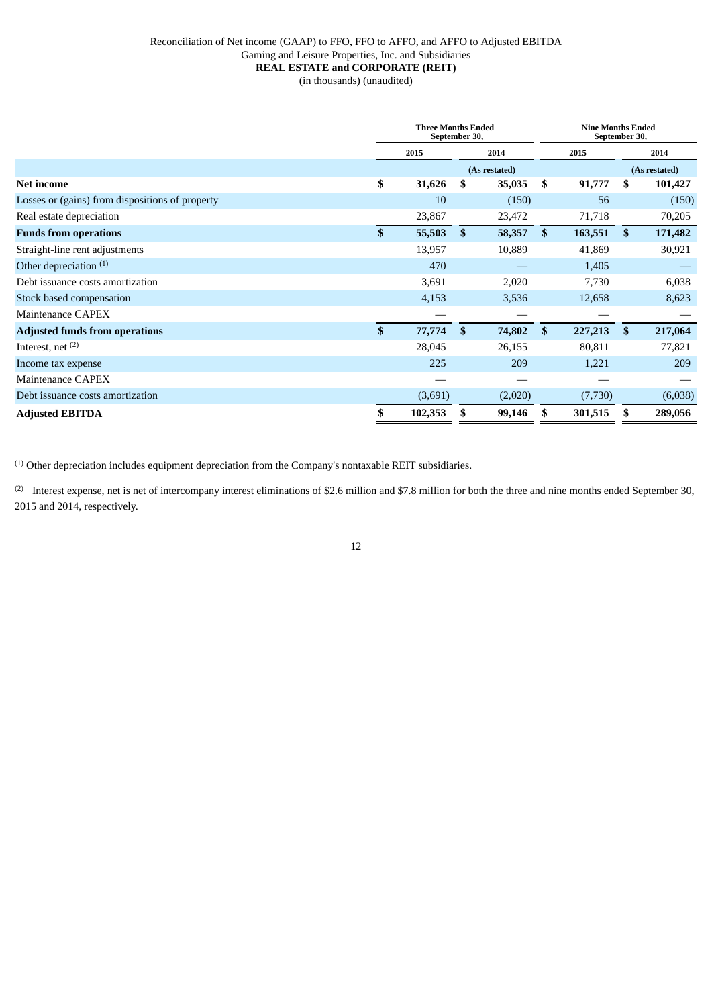## Reconciliation of Net income (GAAP) to FFO, FFO to AFFO, and AFFO to Adjusted EBITDA Gaming and Leisure Properties, Inc. and Subsidiaries **REAL ESTATE and CORPORATE (REIT)** (in thousands) (unaudited)

|                                                 | <b>Three Months Ended</b><br>September 30, |               |               |              | <b>Nine Months Ended</b><br>September 30, |    |               |  |
|-------------------------------------------------|--------------------------------------------|---------------|---------------|--------------|-------------------------------------------|----|---------------|--|
|                                                 | 2015                                       |               | 2014          |              | 2015                                      |    | 2014          |  |
|                                                 |                                            |               | (As restated) |              |                                           |    | (As restated) |  |
| <b>Net income</b>                               | \$<br>31,626                               | \$            | 35,035        | \$           | 91,777                                    | \$ | 101,427       |  |
| Losses or (gains) from dispositions of property | 10                                         |               | (150)         |              | 56                                        |    | (150)         |  |
| Real estate depreciation                        | 23,867                                     |               | 23,472        |              | 71,718                                    |    | 70,205        |  |
| <b>Funds from operations</b>                    | \$<br>55,503                               | \$            | 58,357        | $\mathbf{s}$ | 163,551                                   | \$ | 171,482       |  |
| Straight-line rent adjustments                  | 13,957                                     |               | 10,889        |              | 41,869                                    |    | 30,921        |  |
| Other depreciation <sup>(1)</sup>               | 470                                        |               |               |              | 1,405                                     |    |               |  |
| Debt issuance costs amortization                | 3,691                                      |               | 2,020         |              | 7,730                                     |    | 6,038         |  |
| Stock based compensation                        | 4,153                                      |               | 3,536         |              | 12,658                                    |    | 8,623         |  |
| <b>Maintenance CAPEX</b>                        | –                                          |               |               |              |                                           |    |               |  |
| <b>Adjusted funds from operations</b>           | \$<br>77,774                               | <sup>\$</sup> | 74,802        | \$           | 227,213                                   | \$ | 217,064       |  |
| Interest, net $(2)$                             | 28,045                                     |               | 26,155        |              | 80,811                                    |    | 77,821        |  |
| Income tax expense                              | 225                                        |               | 209           |              | 1,221                                     |    | 209           |  |
| Maintenance CAPEX                               |                                            |               |               |              |                                           |    |               |  |
| Debt issuance costs amortization                | (3,691)                                    |               | (2,020)       |              | (7,730)                                   |    | (6,038)       |  |
| <b>Adjusted EBITDA</b>                          | \$<br>102,353                              | S             | 99,146        |              | 301,515                                   |    | 289,056       |  |

(1) Other depreciation includes equipment depreciation from the Company's nontaxable REIT subsidiaries.

(2) Interest expense, net is net of intercompany interest eliminations of \$2.6 million and \$7.8 million for both the three and nine months ended September 30, 2015 and 2014, respectively.